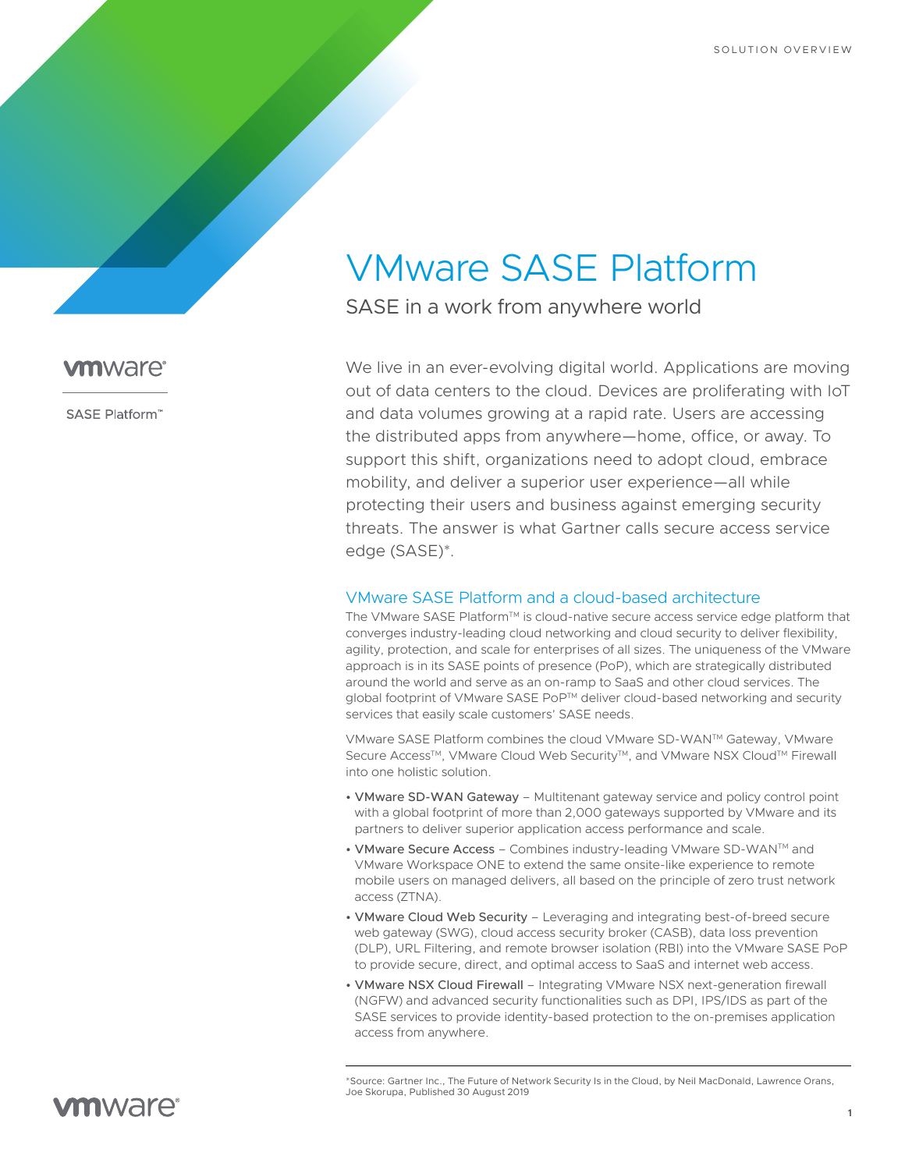# VMware SASE Platform

SASE in a work from anywhere world

We live in an ever-evolving digital world. Applications are moving out of data centers to the cloud. Devices are proliferating with IoT and data volumes growing at a rapid rate. Users are accessing the distributed apps from anywhere—home, office, or away. To support this shift, organizations need to adopt cloud, embrace mobility, and deliver a superior user experience—all while protecting their users and business against emerging security threats. The answer is what Gartner calls secure access service edge (SASE)\*.

### VMware SASE Platform and a cloud-based architecture

The ∨Mware SASE Platform™ is cloud-native secure access service edge platform that converges industry-leading cloud networking and cloud security to deliver flexibility, agility, protection, and scale for enterprises of all sizes. The uniqueness of the VMware approach is in its SASE points of presence (PoP), which are strategically distributed around the world and serve as an on-ramp to SaaS and other cloud services. The global footprint of VMware SASE PoP<sup>TM</sup> deliver cloud-based networking and security services that easily scale customers' SASE needs.

VMware SASE Platform combines the cloud VMware SD-WAN™ Gateway, VMware Secure Access™, VMware Cloud Web Security™, and VMware NSX Cloud™ Firewall into one holistic solution.

- VMware SD-WAN Gateway Multitenant gateway service and policy control point with a global footprint of more than 2,000 gateways supported by VMware and its partners to deliver superior application access performance and scale.
- VMware Secure Access Combines industry-leading VMware SD-WAN™ and VMware Workspace ONE to extend the same onsite-like experience to remote mobile users on managed delivers, all based on the principle of zero trust network access (ZTNA).
- VMware Cloud Web Security Leveraging and integrating best-of-breed secure web gateway (SWG), cloud access security broker (CASB), data loss prevention (DLP), URL Filtering, and remote browser isolation (RBI) into the VMware SASE PoP to provide secure, direct, and optimal access to SaaS and internet web access.
- VMware NSX Cloud Firewall Integrating VMware NSX next-generation firewall (NGFW) and advanced security functionalities such as DPI, IPS/IDS as part of the SASE services to provide identity-based protection to the on-premises application access from anywhere.

\*Source: Gartner Inc., The Future of Network Security Is in the Cloud, by Neil MacDonald, Lawrence Orans, Joe Skorupa, Published 30 August 2019

## **vm**ware<sup>®</sup>

SASE Platform<sup>"</sup>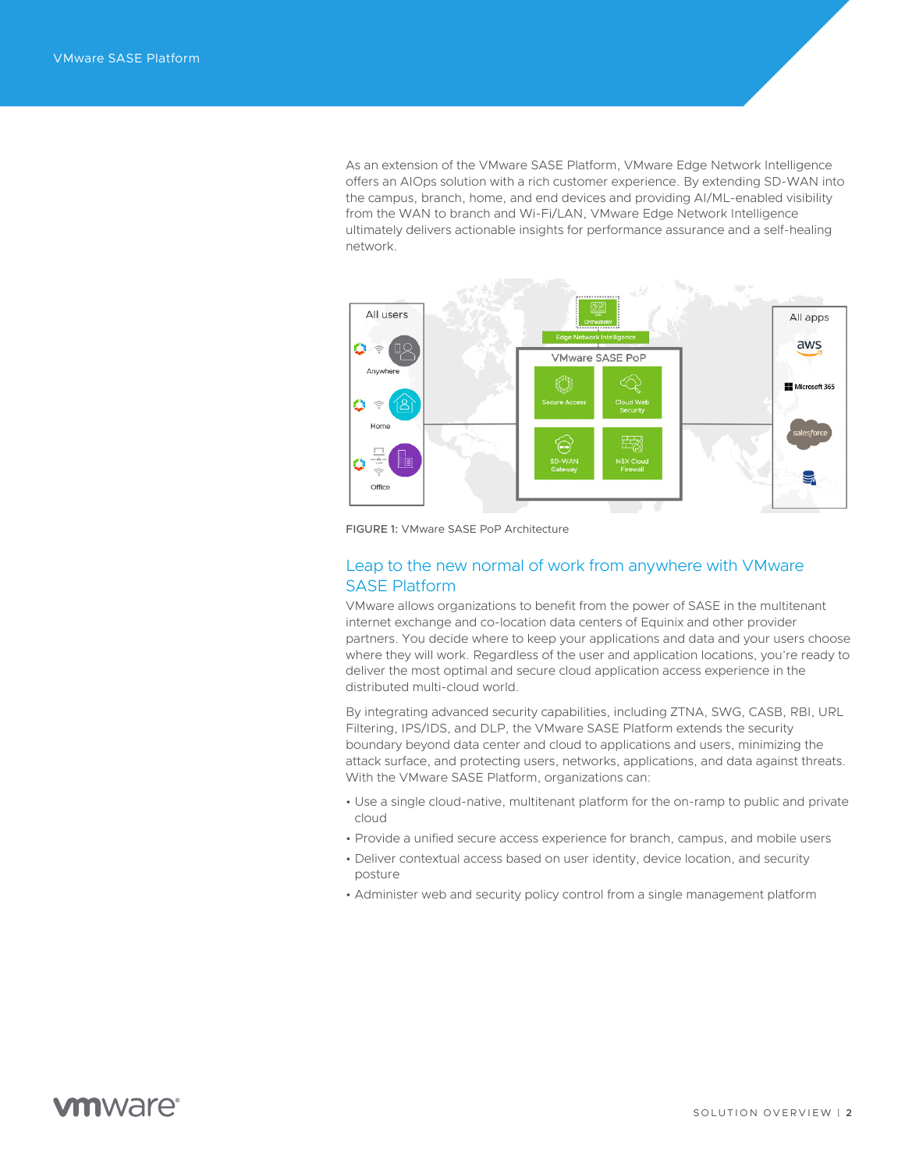As an extension of the VMware SASE Platform, VMware Edge Network Intelligence offers an AIOps solution with a rich customer experience. By extending SD-WAN into the campus, branch, home, and end devices and providing AI/ML-enabled visibility from the WAN to branch and Wi-Fi/LAN, VMware Edge Network Intelligence ultimately delivers actionable insights for performance assurance and a self-healing network.



FIGURE 1: VMware SASE PoP Architecture

## Leap to the new normal of work from anywhere with VMware SASE Platform

VMware allows organizations to benefit from the power of SASE in the multitenant internet exchange and co-location data centers of Equinix and other provider partners. You decide where to keep your applications and data and your users choose where they will work. Regardless of the user and application locations, you're ready to deliver the most optimal and secure cloud application access experience in the distributed multi-cloud world.

By integrating advanced security capabilities, including ZTNA, SWG, CASB, RBI, URL Filtering, IPS/IDS, and DLP, the VMware SASE Platform extends the security boundary beyond data center and cloud to applications and users, minimizing the attack surface, and protecting users, networks, applications, and data against threats. With the VMware SASE Platform, organizations can:

- Use a single cloud-native, multitenant platform for the on-ramp to public and private cloud
- Provide a unified secure access experience for branch, campus, and mobile users
- Deliver contextual access based on user identity, device location, and security posture
- Administer web and security policy control from a single management platform